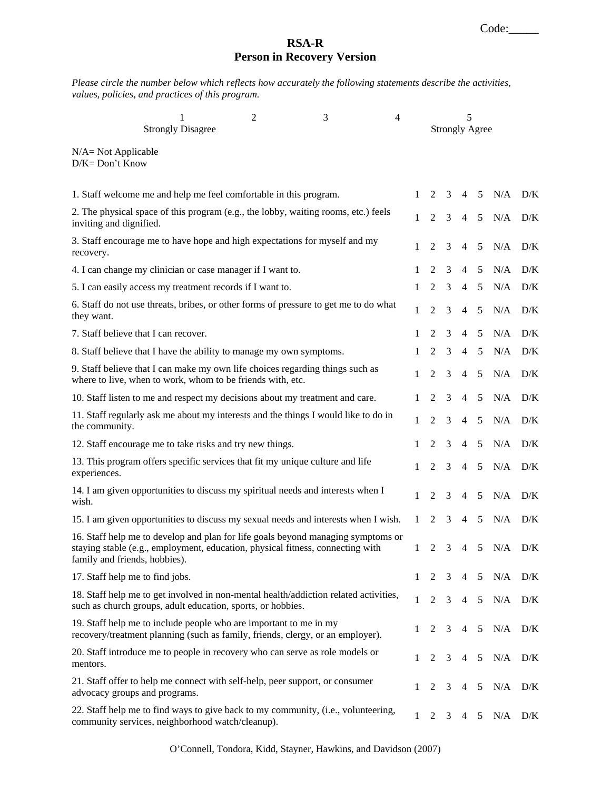## **RSA-R Person in Recovery Version**

*Please circle the number below which reflects how accurately the following statements describe the activities, values, policies, and practices of this program.* 

|                                              | 1<br><b>Strongly Disagree</b>                                                                                                                                      | $\overline{2}$ | 3 | 4            | 5<br><b>Strongly Agree</b> |   |                |   |             |     |
|----------------------------------------------|--------------------------------------------------------------------------------------------------------------------------------------------------------------------|----------------|---|--------------|----------------------------|---|----------------|---|-------------|-----|
| $N/A = Not Applicable$<br>$D/K = Don't Know$ |                                                                                                                                                                    |                |   |              |                            |   |                |   |             |     |
|                                              | 1. Staff welcome me and help me feel comfortable in this program.                                                                                                  |                |   | 1            | 2                          | 3 | 4              | 5 | $N/A$ $D/K$ |     |
| inviting and dignified.                      | 2. The physical space of this program (e.g., the lobby, waiting rooms, etc.) feels                                                                                 |                |   | $\mathbf{1}$ | $\overline{2}$             | 3 | $\overline{4}$ | 5 | N/A         | D/K |
| recovery.                                    | 3. Staff encourage me to have hope and high expectations for myself and my                                                                                         |                |   | 1            | $\overline{2}$             | 3 | $\overline{4}$ | 5 | N/A         | D/K |
|                                              | 4. I can change my clinician or case manager if I want to.                                                                                                         |                |   | 1            | 2                          | 3 | 4              | 5 | N/A         | D/K |
|                                              | 5. I can easily access my treatment records if I want to.                                                                                                          |                |   | 1            | 2                          | 3 | 4              | 5 | N/A         | D/K |
| they want.                                   | 6. Staff do not use threats, bribes, or other forms of pressure to get me to do what                                                                               |                |   | 1            | 2                          | 3 | $\overline{4}$ | 5 | N/A         | D/K |
|                                              | 7. Staff believe that I can recover.                                                                                                                               |                |   | 1            | 2                          | 3 | 4              | 5 | N/A         | D/K |
|                                              | 8. Staff believe that I have the ability to manage my own symptoms.                                                                                                |                |   | 1            | 2                          | 3 | 4              | 5 | N/A         | D/K |
|                                              | 9. Staff believe that I can make my own life choices regarding things such as<br>where to live, when to work, whom to be friends with, etc.                        |                |   | 1            | 2                          | 3 | $\overline{4}$ | 5 | N/A         | D/K |
|                                              | 10. Staff listen to me and respect my decisions about my treatment and care.                                                                                       |                |   | 1            | 2                          | 3 | 4              | 5 | N/A         | D/K |
| the community.                               | 11. Staff regularly ask me about my interests and the things I would like to do in                                                                                 |                |   | 1            | $\overline{2}$             | 3 | $\overline{4}$ | 5 | N/A         | D/K |
|                                              | 12. Staff encourage me to take risks and try new things.                                                                                                           |                |   | 1            | 2                          | 3 | $\overline{4}$ | 5 | N/A         | D/K |
| experiences.                                 | 13. This program offers specific services that fit my unique culture and life                                                                                      |                |   | 1            | $\overline{2}$             | 3 | $\overline{4}$ | 5 | N/A         | D/K |
| wish.                                        | 14. I am given opportunities to discuss my spiritual needs and interests when I                                                                                    |                |   | 1            | 2                          | 3 | 4              | 5 | N/A         | D/K |
|                                              | 15. I am given opportunities to discuss my sexual needs and interests when I wish.                                                                                 |                |   | 1            | 2                          | 3 | 4              | 5 | N/A         | D/K |
| family and friends, hobbies).                | 16. Staff help me to develop and plan for life goals beyond managing symptoms or<br>staying stable (e.g., employment, education, physical fitness, connecting with |                |   | 1            | 2                          | 3 | 4              | 5 | N/A         | D/K |
| 17. Staff help me to find jobs.              |                                                                                                                                                                    |                |   | 1            | 2                          | 3 | 4              | 5 | N/A         | D/K |
|                                              | 18. Staff help me to get involved in non-mental health/addiction related activities,<br>such as church groups, adult education, sports, or hobbies.                |                |   | 1            | $\overline{2}$             | 3 | 4              | 5 | N/A         | D/K |
|                                              | 19. Staff help me to include people who are important to me in my<br>recovery/treatment planning (such as family, friends, clergy, or an employer).                |                |   | 1            | 2                          | 3 | 4              | 5 | N/A         | D/K |
| mentors.                                     | 20. Staff introduce me to people in recovery who can serve as role models or                                                                                       |                |   | 1            | 2                          | 3 | 4              | 5 | N/A         | D/K |
| advocacy groups and programs.                | 21. Staff offer to help me connect with self-help, peer support, or consumer                                                                                       |                |   | 1            | 2                          | 3 | 4              | 5 | N/A         | D/K |
|                                              | 22. Staff help me to find ways to give back to my community, (i.e., volunteering,<br>community services, neighborhood watch/cleanup).                              |                |   | 1            | $\overline{2}$             | 3 | 4              | 5 | N/A         | D/K |

O'Connell, Tondora, Kidd, Stayner, Hawkins, and Davidson (2007)